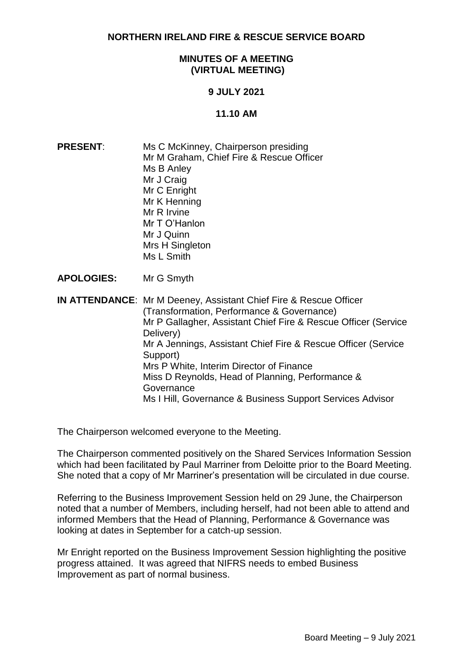**NORTHERN IRELAND FIRE & RESCUE SERVICE BOARD**

## **MINUTES OF A MEETING (VIRTUAL MEETING)**

# **9 JULY 2021**

#### **11.10 AM**

- **PRESENT:** Ms C McKinney, Chairperson presiding Mr M Graham, Chief Fire & Rescue Officer Ms B Anley Mr J Craig Mr C Enright Mr K Henning Mr R Irvine Mr T O'Hanlon Mr J Quinn Mrs H Singleton Ms L Smith
- **APOLOGIES:** Mr G Smyth

**IN ATTENDANCE**: Mr M Deeney, Assistant Chief Fire & Rescue Officer (Transformation, Performance & Governance) Mr P Gallagher, Assistant Chief Fire & Rescue Officer (Service Delivery) Mr A Jennings, Assistant Chief Fire & Rescue Officer (Service Support) Mrs P White, Interim Director of Finance Miss D Reynolds, Head of Planning, Performance & **Governance** Ms I Hill, Governance & Business Support Services Advisor

The Chairperson welcomed everyone to the Meeting.

The Chairperson commented positively on the Shared Services Information Session which had been facilitated by Paul Marriner from Deloitte prior to the Board Meeting. She noted that a copy of Mr Marriner's presentation will be circulated in due course.

Referring to the Business Improvement Session held on 29 June, the Chairperson noted that a number of Members, including herself, had not been able to attend and informed Members that the Head of Planning, Performance & Governance was looking at dates in September for a catch-up session.

Mr Enright reported on the Business Improvement Session highlighting the positive progress attained. It was agreed that NIFRS needs to embed Business Improvement as part of normal business.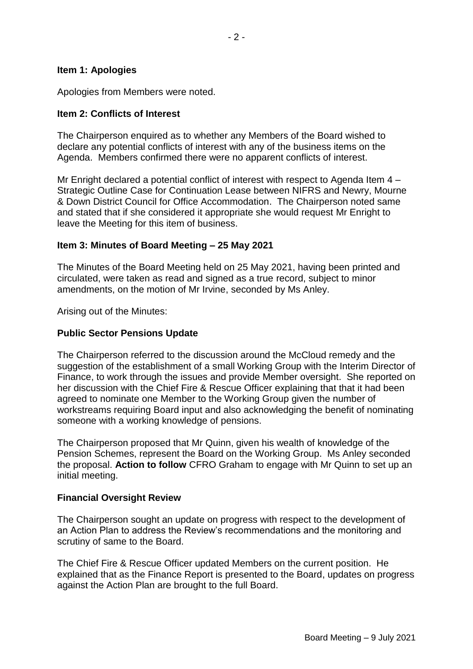#### **Item 1: Apologies**

Apologies from Members were noted.

## **Item 2: Conflicts of Interest**

The Chairperson enquired as to whether any Members of the Board wished to declare any potential conflicts of interest with any of the business items on the Agenda. Members confirmed there were no apparent conflicts of interest.

Mr Enright declared a potential conflict of interest with respect to Agenda Item 4 – Strategic Outline Case for Continuation Lease between NIFRS and Newry, Mourne & Down District Council for Office Accommodation. The Chairperson noted same and stated that if she considered it appropriate she would request Mr Enright to leave the Meeting for this item of business.

#### **Item 3: Minutes of Board Meeting – 25 May 2021**

The Minutes of the Board Meeting held on 25 May 2021, having been printed and circulated, were taken as read and signed as a true record, subject to minor amendments, on the motion of Mr Irvine, seconded by Ms Anley.

Arising out of the Minutes:

## **Public Sector Pensions Update**

The Chairperson referred to the discussion around the McCloud remedy and the suggestion of the establishment of a small Working Group with the Interim Director of Finance, to work through the issues and provide Member oversight. She reported on her discussion with the Chief Fire & Rescue Officer explaining that that it had been agreed to nominate one Member to the Working Group given the number of workstreams requiring Board input and also acknowledging the benefit of nominating someone with a working knowledge of pensions.

The Chairperson proposed that Mr Quinn, given his wealth of knowledge of the Pension Schemes, represent the Board on the Working Group. Ms Anley seconded the proposal. **Action to follow** CFRO Graham to engage with Mr Quinn to set up an initial meeting.

# **Financial Oversight Review**

The Chairperson sought an update on progress with respect to the development of an Action Plan to address the Review's recommendations and the monitoring and scrutiny of same to the Board.

The Chief Fire & Rescue Officer updated Members on the current position. He explained that as the Finance Report is presented to the Board, updates on progress against the Action Plan are brought to the full Board.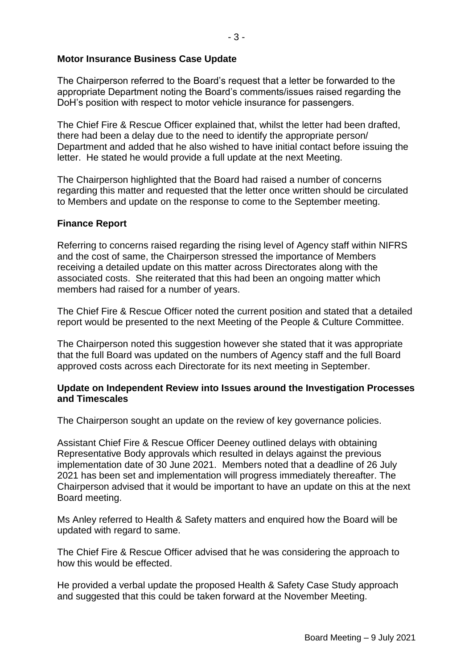# **Motor Insurance Business Case Update**

The Chairperson referred to the Board's request that a letter be forwarded to the appropriate Department noting the Board's comments/issues raised regarding the DoH's position with respect to motor vehicle insurance for passengers.

The Chief Fire & Rescue Officer explained that, whilst the letter had been drafted, there had been a delay due to the need to identify the appropriate person/ Department and added that he also wished to have initial contact before issuing the letter. He stated he would provide a full update at the next Meeting.

The Chairperson highlighted that the Board had raised a number of concerns regarding this matter and requested that the letter once written should be circulated to Members and update on the response to come to the September meeting.

#### **Finance Report**

Referring to concerns raised regarding the rising level of Agency staff within NIFRS and the cost of same, the Chairperson stressed the importance of Members receiving a detailed update on this matter across Directorates along with the associated costs. She reiterated that this had been an ongoing matter which members had raised for a number of years.

The Chief Fire & Rescue Officer noted the current position and stated that a detailed report would be presented to the next Meeting of the People & Culture Committee.

The Chairperson noted this suggestion however she stated that it was appropriate that the full Board was updated on the numbers of Agency staff and the full Board approved costs across each Directorate for its next meeting in September.

#### **Update on Independent Review into Issues around the Investigation Processes and Timescales**

The Chairperson sought an update on the review of key governance policies.

Assistant Chief Fire & Rescue Officer Deeney outlined delays with obtaining Representative Body approvals which resulted in delays against the previous implementation date of 30 June 2021. Members noted that a deadline of 26 July 2021 has been set and implementation will progress immediately thereafter. The Chairperson advised that it would be important to have an update on this at the next Board meeting.

Ms Anley referred to Health & Safety matters and enquired how the Board will be updated with regard to same.

The Chief Fire & Rescue Officer advised that he was considering the approach to how this would be effected.

He provided a verbal update the proposed Health & Safety Case Study approach and suggested that this could be taken forward at the November Meeting.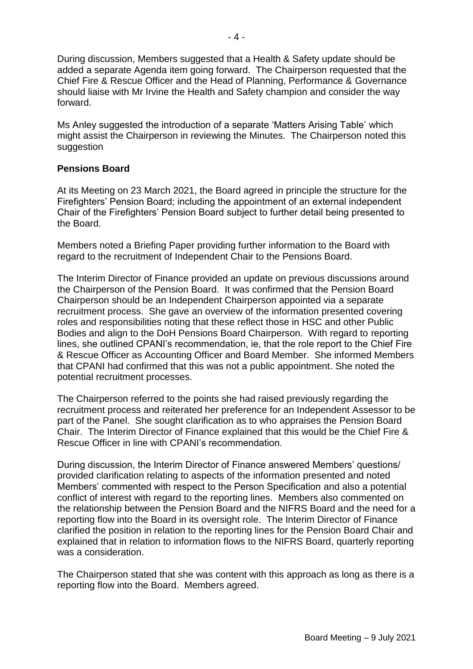During discussion, Members suggested that a Health & Safety update should be added a separate Agenda item going forward. The Chairperson requested that the Chief Fire & Rescue Officer and the Head of Planning, Performance & Governance should liaise with Mr Irvine the Health and Safety champion and consider the way forward.

Ms Anley suggested the introduction of a separate 'Matters Arising Table' which might assist the Chairperson in reviewing the Minutes. The Chairperson noted this suggestion

# **Pensions Board**

At its Meeting on 23 March 2021, the Board agreed in principle the structure for the Firefighters' Pension Board; including the appointment of an external independent Chair of the Firefighters' Pension Board subject to further detail being presented to the Board.

Members noted a Briefing Paper providing further information to the Board with regard to the recruitment of Independent Chair to the Pensions Board.

The Interim Director of Finance provided an update on previous discussions around the Chairperson of the Pension Board. It was confirmed that the Pension Board Chairperson should be an Independent Chairperson appointed via a separate recruitment process. She gave an overview of the information presented covering roles and responsibilities noting that these reflect those in HSC and other Public Bodies and align to the DoH Pensions Board Chairperson. With regard to reporting lines, she outlined CPANI's recommendation, ie, that the role report to the Chief Fire & Rescue Officer as Accounting Officer and Board Member. She informed Members that CPANI had confirmed that this was not a public appointment. She noted the potential recruitment processes.

The Chairperson referred to the points she had raised previously regarding the recruitment process and reiterated her preference for an Independent Assessor to be part of the Panel. She sought clarification as to who appraises the Pension Board Chair. The Interim Director of Finance explained that this would be the Chief Fire & Rescue Officer in line with CPANI's recommendation.

During discussion, the Interim Director of Finance answered Members' questions/ provided clarification relating to aspects of the information presented and noted Members' commented with respect to the Person Specification and also a potential conflict of interest with regard to the reporting lines. Members also commented on the relationship between the Pension Board and the NIFRS Board and the need for a reporting flow into the Board in its oversight role. The Interim Director of Finance clarified the position in relation to the reporting lines for the Pension Board Chair and explained that in relation to information flows to the NIFRS Board, quarterly reporting was a consideration.

The Chairperson stated that she was content with this approach as long as there is a reporting flow into the Board. Members agreed.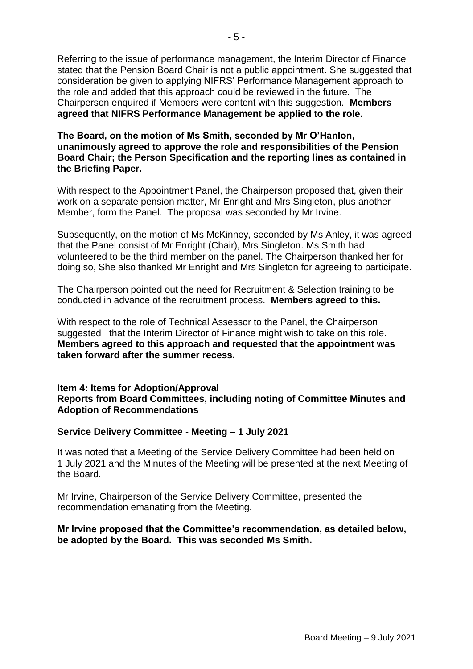Referring to the issue of performance management, the Interim Director of Finance stated that the Pension Board Chair is not a public appointment. She suggested that consideration be given to applying NIFRS' Performance Management approach to the role and added that this approach could be reviewed in the future. The Chairperson enquired if Members were content with this suggestion. **Members agreed that NIFRS Performance Management be applied to the role.**

## **The Board, on the motion of Ms Smith, seconded by Mr O'Hanlon, unanimously agreed to approve the role and responsibilities of the Pension Board Chair; the Person Specification and the reporting lines as contained in the Briefing Paper.**

With respect to the Appointment Panel, the Chairperson proposed that, given their work on a separate pension matter, Mr Enright and Mrs Singleton, plus another Member, form the Panel. The proposal was seconded by Mr Irvine.

Subsequently, on the motion of Ms McKinney, seconded by Ms Anley, it was agreed that the Panel consist of Mr Enright (Chair), Mrs Singleton. Ms Smith had volunteered to be the third member on the panel. The Chairperson thanked her for doing so, She also thanked Mr Enright and Mrs Singleton for agreeing to participate.

The Chairperson pointed out the need for Recruitment & Selection training to be conducted in advance of the recruitment process. **Members agreed to this.**

With respect to the role of Technical Assessor to the Panel, the Chairperson suggested that the Interim Director of Finance might wish to take on this role. **Members agreed to this approach and requested that the appointment was taken forward after the summer recess.**

## **Item 4: Items for Adoption/Approval Reports from Board Committees, including noting of Committee Minutes and Adoption of Recommendations**

# **Service Delivery Committee - Meeting – 1 July 2021**

It was noted that a Meeting of the Service Delivery Committee had been held on 1 July 2021 and the Minutes of the Meeting will be presented at the next Meeting of the Board.

Mr Irvine, Chairperson of the Service Delivery Committee, presented the recommendation emanating from the Meeting.

#### **Mr Irvine proposed that the Committee's recommendation, as detailed below, be adopted by the Board. This was seconded Ms Smith.**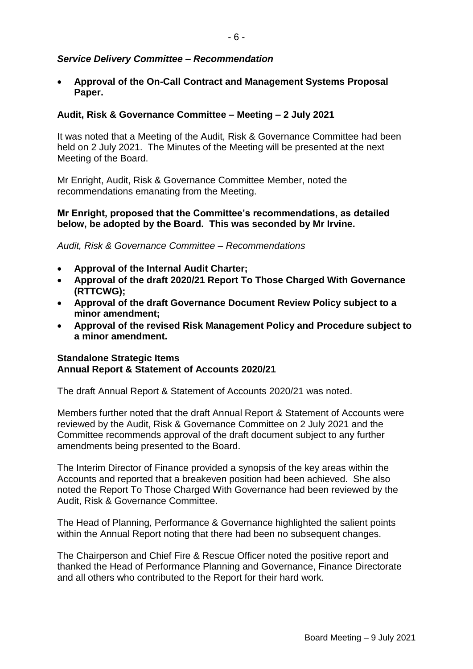# *Service Delivery Committee – Recommendation*

 **Approval of the On-Call Contract and Management Systems Proposal Paper.**

# **Audit, Risk & Governance Committee – Meeting – 2 July 2021**

It was noted that a Meeting of the Audit, Risk & Governance Committee had been held on 2 July 2021. The Minutes of the Meeting will be presented at the next Meeting of the Board.

Mr Enright, Audit, Risk & Governance Committee Member, noted the recommendations emanating from the Meeting.

# **Mr Enright, proposed that the Committee's recommendations, as detailed below, be adopted by the Board. This was seconded by Mr Irvine.**

*Audit, Risk & Governance Committee – Recommendations*

- **Approval of the Internal Audit Charter;**
- **Approval of the draft 2020/21 Report To Those Charged With Governance (RTTCWG);**
- **Approval of the draft Governance Document Review Policy subject to a minor amendment;**
- **Approval of the revised Risk Management Policy and Procedure subject to a minor amendment.**

#### **Standalone Strategic Items Annual Report & Statement of Accounts 2020/21**

The draft Annual Report & Statement of Accounts 2020/21 was noted.

Members further noted that the draft Annual Report & Statement of Accounts were reviewed by the Audit, Risk & Governance Committee on 2 July 2021 and the Committee recommends approval of the draft document subject to any further amendments being presented to the Board.

The Interim Director of Finance provided a synopsis of the key areas within the Accounts and reported that a breakeven position had been achieved. She also noted the Report To Those Charged With Governance had been reviewed by the Audit, Risk & Governance Committee.

The Head of Planning, Performance & Governance highlighted the salient points within the Annual Report noting that there had been no subsequent changes.

The Chairperson and Chief Fire & Rescue Officer noted the positive report and thanked the Head of Performance Planning and Governance, Finance Directorate and all others who contributed to the Report for their hard work.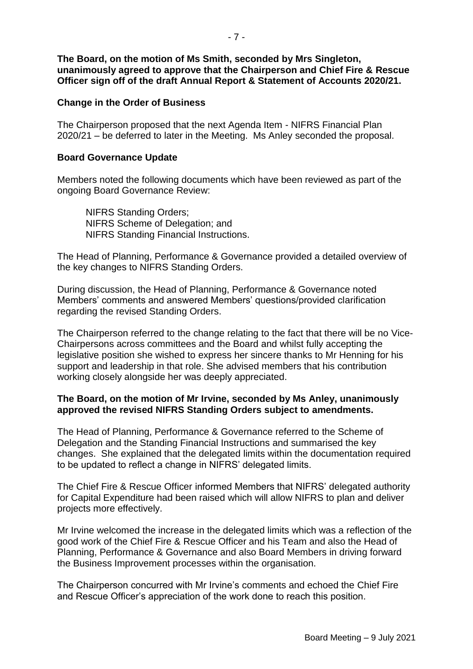**The Board, on the motion of Ms Smith, seconded by Mrs Singleton, unanimously agreed to approve that the Chairperson and Chief Fire & Rescue Officer sign off of the draft Annual Report & Statement of Accounts 2020/21.**

#### **Change in the Order of Business**

The Chairperson proposed that the next Agenda Item - NIFRS Financial Plan 2020/21 – be deferred to later in the Meeting. Ms Anley seconded the proposal.

#### **Board Governance Update**

Members noted the following documents which have been reviewed as part of the ongoing Board Governance Review:

NIFRS Standing Orders; NIFRS Scheme of Delegation; and NIFRS Standing Financial Instructions.

The Head of Planning, Performance & Governance provided a detailed overview of the key changes to NIFRS Standing Orders.

During discussion, the Head of Planning, Performance & Governance noted Members' comments and answered Members' questions/provided clarification regarding the revised Standing Orders.

The Chairperson referred to the change relating to the fact that there will be no Vice-Chairpersons across committees and the Board and whilst fully accepting the legislative position she wished to express her sincere thanks to Mr Henning for his support and leadership in that role. She advised members that his contribution working closely alongside her was deeply appreciated.

# **The Board, on the motion of Mr Irvine, seconded by Ms Anley, unanimously approved the revised NIFRS Standing Orders subject to amendments.**

The Head of Planning, Performance & Governance referred to the Scheme of Delegation and the Standing Financial Instructions and summarised the key changes. She explained that the delegated limits within the documentation required to be updated to reflect a change in NIFRS' delegated limits.

The Chief Fire & Rescue Officer informed Members that NIFRS' delegated authority for Capital Expenditure had been raised which will allow NIFRS to plan and deliver projects more effectively.

Mr Irvine welcomed the increase in the delegated limits which was a reflection of the good work of the Chief Fire & Rescue Officer and his Team and also the Head of Planning, Performance & Governance and also Board Members in driving forward the Business Improvement processes within the organisation.

The Chairperson concurred with Mr Irvine's comments and echoed the Chief Fire and Rescue Officer's appreciation of the work done to reach this position.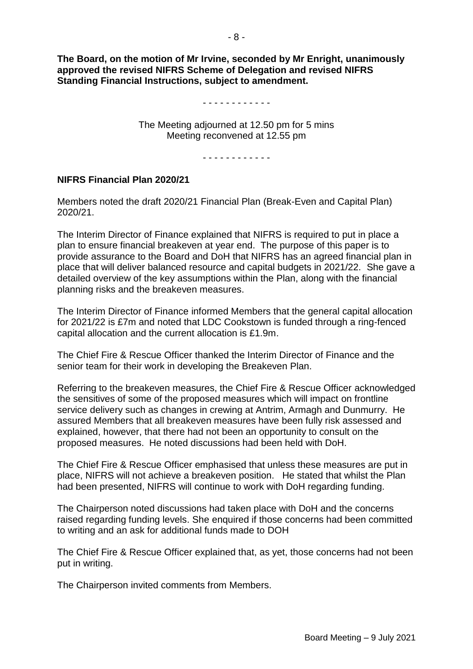**The Board, on the motion of Mr Irvine, seconded by Mr Enright, unanimously approved the revised NIFRS Scheme of Delegation and revised NIFRS Standing Financial Instructions, subject to amendment.**

#### - - - - - - - - - - - -

The Meeting adjourned at 12.50 pm for 5 mins Meeting reconvened at 12.55 pm

- - - - - - - - - - - -

#### **NIFRS Financial Plan 2020/21**

Members noted the draft 2020/21 Financial Plan (Break-Even and Capital Plan) 2020/21.

The Interim Director of Finance explained that NIFRS is required to put in place a plan to ensure financial breakeven at year end. The purpose of this paper is to provide assurance to the Board and DoH that NIFRS has an agreed financial plan in place that will deliver balanced resource and capital budgets in 2021/22. She gave a detailed overview of the key assumptions within the Plan, along with the financial planning risks and the breakeven measures.

The Interim Director of Finance informed Members that the general capital allocation for 2021/22 is £7m and noted that LDC Cookstown is funded through a ring-fenced capital allocation and the current allocation is £1.9m.

The Chief Fire & Rescue Officer thanked the Interim Director of Finance and the senior team for their work in developing the Breakeven Plan.

Referring to the breakeven measures, the Chief Fire & Rescue Officer acknowledged the sensitives of some of the proposed measures which will impact on frontline service delivery such as changes in crewing at Antrim, Armagh and Dunmurry. He assured Members that all breakeven measures have been fully risk assessed and explained, however, that there had not been an opportunity to consult on the proposed measures. He noted discussions had been held with DoH.

The Chief Fire & Rescue Officer emphasised that unless these measures are put in place, NIFRS will not achieve a breakeven position. He stated that whilst the Plan had been presented, NIFRS will continue to work with DoH regarding funding.

The Chairperson noted discussions had taken place with DoH and the concerns raised regarding funding levels. She enquired if those concerns had been committed to writing and an ask for additional funds made to DOH

The Chief Fire & Rescue Officer explained that, as yet, those concerns had not been put in writing.

The Chairperson invited comments from Members.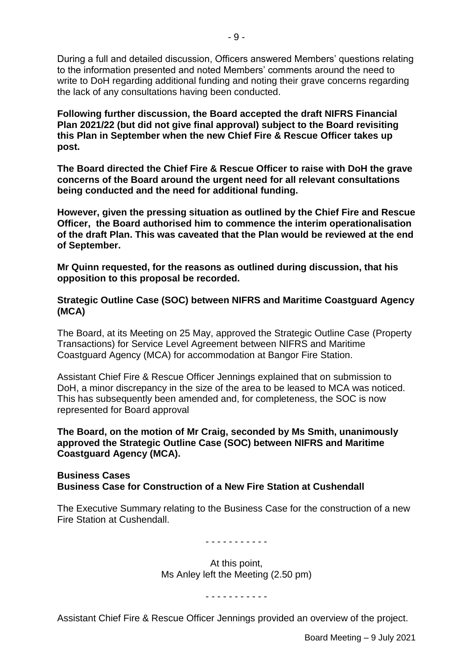During a full and detailed discussion, Officers answered Members' questions relating to the information presented and noted Members' comments around the need to write to DoH regarding additional funding and noting their grave concerns regarding the lack of any consultations having been conducted.

**Following further discussion, the Board accepted the draft NIFRS Financial Plan 2021/22 (but did not give final approval) subject to the Board revisiting this Plan in September when the new Chief Fire & Rescue Officer takes up post.** 

**The Board directed the Chief Fire & Rescue Officer to raise with DoH the grave concerns of the Board around the urgent need for all relevant consultations being conducted and the need for additional funding.**

**However, given the pressing situation as outlined by the Chief Fire and Rescue Officer, the Board authorised him to commence the interim operationalisation of the draft Plan. This was caveated that the Plan would be reviewed at the end of September.** 

**Mr Quinn requested, for the reasons as outlined during discussion, that his opposition to this proposal be recorded.**

# **Strategic Outline Case (SOC) between NIFRS and Maritime Coastguard Agency (MCA)**

The Board, at its Meeting on 25 May, approved the Strategic Outline Case (Property Transactions) for Service Level Agreement between NIFRS and Maritime Coastguard Agency (MCA) for accommodation at Bangor Fire Station.

Assistant Chief Fire & Rescue Officer Jennings explained that on submission to DoH, a minor discrepancy in the size of the area to be leased to MCA was noticed. This has subsequently been amended and, for completeness, the SOC is now represented for Board approval

**The Board, on the motion of Mr Craig, seconded by Ms Smith, unanimously approved the Strategic Outline Case (SOC) between NIFRS and Maritime Coastguard Agency (MCA).**

#### **Business Cases Business Case for Construction of a New Fire Station at Cushendall**

The Executive Summary relating to the Business Case for the construction of a new Fire Station at Cushendall.

#### - - - - - - - - - - -

At this point, Ms Anley left the Meeting (2.50 pm)

- - - - - - - - - - -

Assistant Chief Fire & Rescue Officer Jennings provided an overview of the project.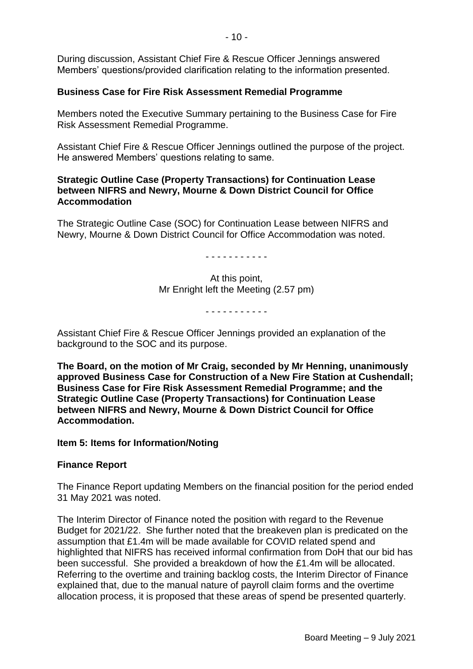During discussion, Assistant Chief Fire & Rescue Officer Jennings answered Members' questions/provided clarification relating to the information presented.

# **Business Case for Fire Risk Assessment Remedial Programme**

Members noted the Executive Summary pertaining to the Business Case for Fire Risk Assessment Remedial Programme.

Assistant Chief Fire & Rescue Officer Jennings outlined the purpose of the project. He answered Members' questions relating to same.

#### **Strategic Outline Case (Property Transactions) for Continuation Lease between NIFRS and Newry, Mourne & Down District Council for Office Accommodation**

The Strategic Outline Case (SOC) for Continuation Lease between NIFRS and Newry, Mourne & Down District Council for Office Accommodation was noted.

- - - - - - - - - - -

At this point, Mr Enright left the Meeting (2.57 pm)

- - - - - - - - - - -

Assistant Chief Fire & Rescue Officer Jennings provided an explanation of the background to the SOC and its purpose.

**The Board, on the motion of Mr Craig, seconded by Mr Henning, unanimously approved Business Case for Construction of a New Fire Station at Cushendall; Business Case for Fire Risk Assessment Remedial Programme; and the Strategic Outline Case (Property Transactions) for Continuation Lease between NIFRS and Newry, Mourne & Down District Council for Office Accommodation.**

**Item 5: Items for Information/Noting**

# **Finance Report**

The Finance Report updating Members on the financial position for the period ended 31 May 2021 was noted.

The Interim Director of Finance noted the position with regard to the Revenue Budget for 2021/22. She further noted that the breakeven plan is predicated on the assumption that £1.4m will be made available for COVID related spend and highlighted that NIFRS has received informal confirmation from DoH that our bid has been successful. She provided a breakdown of how the £1.4m will be allocated. Referring to the overtime and training backlog costs, the Interim Director of Finance explained that, due to the manual nature of payroll claim forms and the overtime allocation process, it is proposed that these areas of spend be presented quarterly.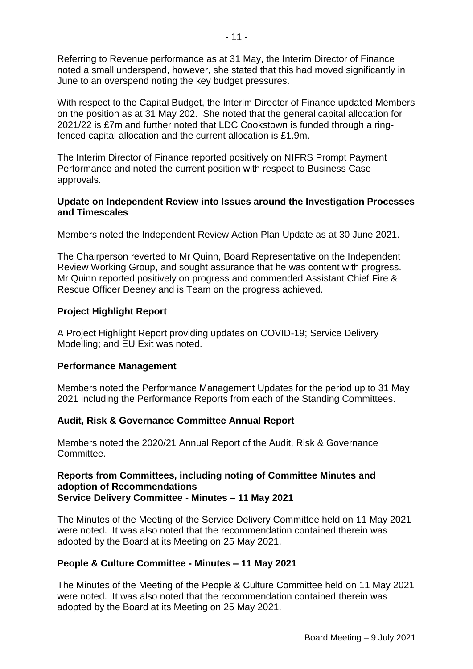Referring to Revenue performance as at 31 May, the Interim Director of Finance noted a small underspend, however, she stated that this had moved significantly in June to an overspend noting the key budget pressures.

With respect to the Capital Budget, the Interim Director of Finance updated Members on the position as at 31 May 202. She noted that the general capital allocation for 2021/22 is £7m and further noted that LDC Cookstown is funded through a ringfenced capital allocation and the current allocation is £1.9m.

The Interim Director of Finance reported positively on NIFRS Prompt Payment Performance and noted the current position with respect to Business Case approvals.

## **Update on Independent Review into Issues around the Investigation Processes and Timescales**

Members noted the Independent Review Action Plan Update as at 30 June 2021.

The Chairperson reverted to Mr Quinn, Board Representative on the Independent Review Working Group, and sought assurance that he was content with progress. Mr Quinn reported positively on progress and commended Assistant Chief Fire & Rescue Officer Deeney and is Team on the progress achieved.

# **Project Highlight Report**

A Project Highlight Report providing updates on COVID-19; Service Delivery Modelling; and EU Exit was noted.

#### **Performance Management**

Members noted the Performance Management Updates for the period up to 31 May 2021 including the Performance Reports from each of the Standing Committees.

# **Audit, Risk & Governance Committee Annual Report**

Members noted the 2020/21 Annual Report of the Audit, Risk & Governance Committee.

#### **Reports from Committees, including noting of Committee Minutes and adoption of Recommendations Service Delivery Committee - Minutes – 11 May 2021**

The Minutes of the Meeting of the Service Delivery Committee held on 11 May 2021 were noted. It was also noted that the recommendation contained therein was adopted by the Board at its Meeting on 25 May 2021.

# **People & Culture Committee - Minutes – 11 May 2021**

The Minutes of the Meeting of the People & Culture Committee held on 11 May 2021 were noted. It was also noted that the recommendation contained therein was adopted by the Board at its Meeting on 25 May 2021.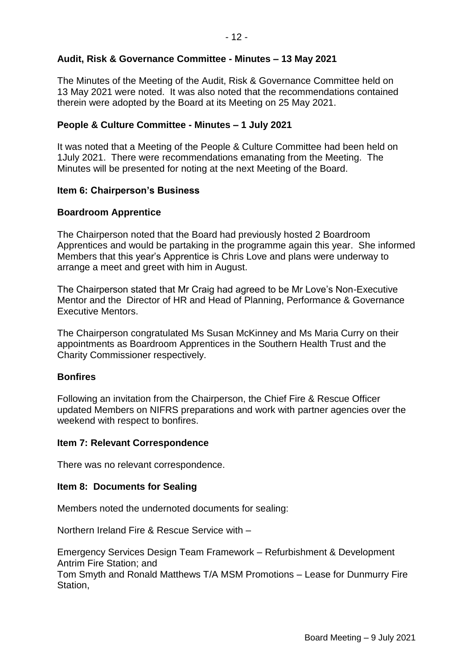# **Audit, Risk & Governance Committee - Minutes – 13 May 2021**

The Minutes of the Meeting of the Audit, Risk & Governance Committee held on 13 May 2021 were noted. It was also noted that the recommendations contained therein were adopted by the Board at its Meeting on 25 May 2021.

# **People & Culture Committee - Minutes – 1 July 2021**

It was noted that a Meeting of the People & Culture Committee had been held on 1July 2021. There were recommendations emanating from the Meeting. The Minutes will be presented for noting at the next Meeting of the Board.

# **Item 6: Chairperson's Business**

# **Boardroom Apprentice**

The Chairperson noted that the Board had previously hosted 2 Boardroom Apprentices and would be partaking in the programme again this year. She informed Members that this year's Apprentice is Chris Love and plans were underway to arrange a meet and greet with him in August.

The Chairperson stated that Mr Craig had agreed to be Mr Love's Non-Executive Mentor and the Director of HR and Head of Planning, Performance & Governance Executive Mentors.

The Chairperson congratulated Ms Susan McKinney and Ms Maria Curry on their appointments as Boardroom Apprentices in the Southern Health Trust and the Charity Commissioner respectively.

# **Bonfires**

Following an invitation from the Chairperson, the Chief Fire & Rescue Officer updated Members on NIFRS preparations and work with partner agencies over the weekend with respect to bonfires.

#### **Item 7: Relevant Correspondence**

There was no relevant correspondence.

#### **Item 8: Documents for Sealing**

Members noted the undernoted documents for sealing:

Northern Ireland Fire & Rescue Service with –

Emergency Services Design Team Framework – Refurbishment & Development Antrim Fire Station; and

Tom Smyth and Ronald Matthews T/A MSM Promotions – Lease for Dunmurry Fire Station,